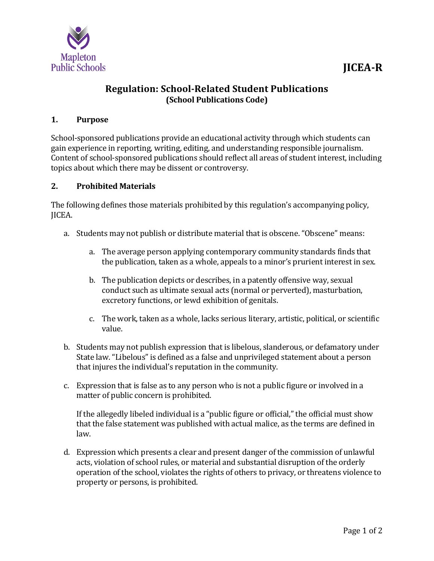

# **Regulation: School-Related Student Publications (School Publications Code)**

## **1. Purpose**

School-sponsored publications provide an educational activity through which students can gain experience in reporting, writing, editing, and understanding responsible journalism. Content of school-sponsored publications should reflect all areas of student interest, including topics about which there may be dissent or controversy.

#### **2. Prohibited Materials**

The following defines those materials prohibited by this regulation's accompanying policy, JICEA.

- a. Students may not publish or distribute material that is obscene. "Obscene" means:
	- a. The average person applying contemporary community standards finds that the publication, taken as a whole, appeals to a minor's prurient interest in sex.
	- b. The publication depicts or describes, in a patently offensive way, sexual conduct such as ultimate sexual acts (normal or perverted), masturbation, excretory functions, or lewd exhibition of genitals.
	- c. The work, taken as a whole, lacks serious literary, artistic, political, or scientific value.
- b. Students may not publish expression that is libelous, slanderous, or defamatory under State law. "Libelous" is defined as a false and unprivileged statement about a person that injures the individual's reputation in the community.
- c. Expression that is false as to any person who is not a public figure or involved in a matter of public concern is prohibited.

If the allegedly libeled individual is a "public figure or official," the official must show that the false statement was published with actual malice, as the terms are defined in law.

d. Expression which presents a clear and present danger of the commission of unlawful acts, violation of school rules, or material and substantial disruption of the orderly operation of the school, violates the rights of others to privacy, or threatens violence to property or persons, is prohibited.